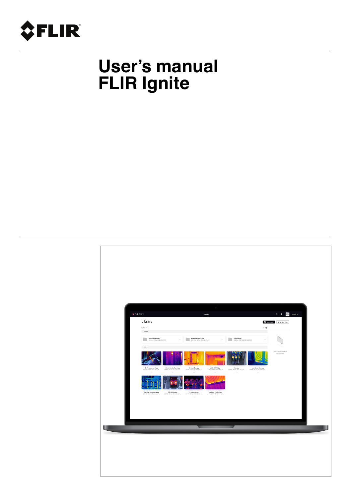

# **User's manual FLIR Ignite**

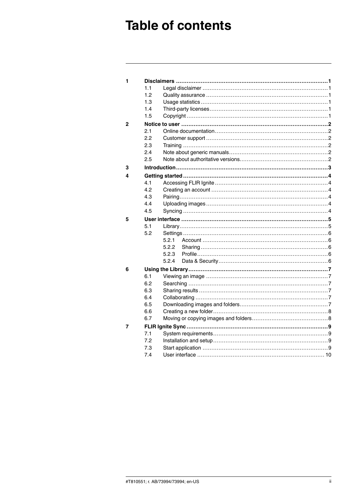## **Table of contents**

| 1 |            |       |  |  |  |  |
|---|------------|-------|--|--|--|--|
|   | 1.1        |       |  |  |  |  |
|   | 1.2        |       |  |  |  |  |
|   | 1.3        |       |  |  |  |  |
|   | 1.4        |       |  |  |  |  |
|   | 1.5        |       |  |  |  |  |
| 2 |            |       |  |  |  |  |
|   | 2.1        |       |  |  |  |  |
|   | 2.2        |       |  |  |  |  |
|   | 2.3        |       |  |  |  |  |
|   | 2.4        |       |  |  |  |  |
|   | 2.5        |       |  |  |  |  |
| 3 |            |       |  |  |  |  |
| 4 |            |       |  |  |  |  |
|   | 4.1        |       |  |  |  |  |
|   | 4.2        |       |  |  |  |  |
|   | 4.3        |       |  |  |  |  |
|   | 4.4        |       |  |  |  |  |
|   | 4.5        |       |  |  |  |  |
| 5 |            |       |  |  |  |  |
|   | 5.1        |       |  |  |  |  |
|   | 5.2        |       |  |  |  |  |
|   |            | 5.2.1 |  |  |  |  |
|   |            | 5.2.2 |  |  |  |  |
|   |            | 5.2.3 |  |  |  |  |
|   |            | 5.2.4 |  |  |  |  |
| 6 |            |       |  |  |  |  |
|   | 6.1        |       |  |  |  |  |
|   | 6.2        |       |  |  |  |  |
|   | 6.3        |       |  |  |  |  |
|   | 6.4        |       |  |  |  |  |
|   | 6.5        |       |  |  |  |  |
|   | 6.6<br>6.7 |       |  |  |  |  |
|   |            |       |  |  |  |  |
| 7 |            |       |  |  |  |  |
|   | 7.1        |       |  |  |  |  |
|   | 7.2        |       |  |  |  |  |
|   | 7.3        |       |  |  |  |  |
|   | 7.4        |       |  |  |  |  |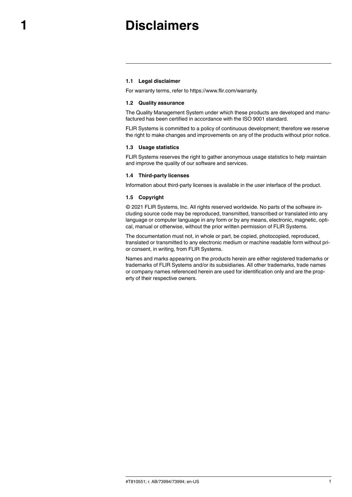## **[1](#page-2-0) [Disclaimers](#page-2-0)**

#### <span id="page-2-1"></span><span id="page-2-0"></span>**1.1 Legal disclaimer**

For warranty terms, refer to https://www.flir.com/warranty.

#### <span id="page-2-2"></span>**1.2 Quality assurance**

The Quality Management System under which these products are developed and manufactured has been certified in accordance with the ISO 9001 standard.

FLIR Systems is committed to a policy of continuous development; therefore we reserve the right to make changes and improvements on any of the products without prior notice.

#### <span id="page-2-3"></span>**1.3 Usage statistics**

FLIR Systems reserves the right to gather anonymous usage statistics to help maintain and improve the quality of our software and services.

#### <span id="page-2-4"></span>**1.4 Third-party licenses**

Information about third-party licenses is available in the user interface of the product.

#### <span id="page-2-5"></span>**1.5 Copyright**

© 2021 FLIR Systems, Inc. All rights reserved worldwide. No parts of the software including source code may be reproduced, transmitted, transcribed or translated into any language or computer language in any form or by any means, electronic, magnetic, optical, manual or otherwise, without the prior written permission of FLIR Systems.

The documentation must not, in whole or part, be copied, photocopied, reproduced, translated or transmitted to any electronic medium or machine readable form without prior consent, in writing, from FLIR Systems.

Names and marks appearing on the products herein are either registered trademarks or trademarks of FLIR Systems and/or its subsidiaries. All other trademarks, trade names or company names referenced herein are used for identification only and are the property of their respective owners.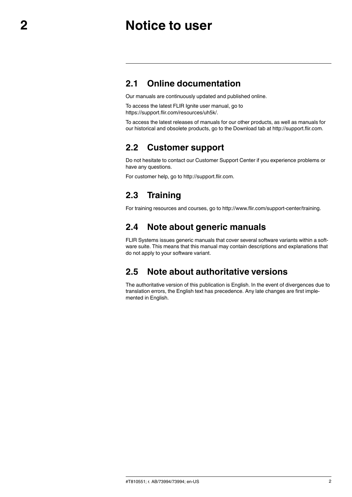## **[2](#page-3-0) [Notice](#page-3-0) to user**

### <span id="page-3-1"></span><span id="page-3-0"></span>**2.1 Online documentation**

Our manuals are continuously updated and published online.

To access the latest FLIR Ignite user manual, go to https://support.flir.com/resources/uh5k/.

To access the latest releases of manuals for our other products, as well as manuals for our historical and obsolete products, go to the Download tab at http://support.flir.com.

### <span id="page-3-2"></span>**2.2 Customer support**

Do not hesitate to contact our Customer Support Center if you experience problems or have any questions.

For customer help, go to http://support.flir.com.

### <span id="page-3-3"></span>**2.3 Training**

For training resources and courses, go to http://www.flir.com/support-center/training.

### <span id="page-3-4"></span>**2.4 Note about generic manuals**

FLIR Systems issues generic manuals that cover several software variants within a software suite. This means that this manual may contain descriptions and explanations that do not apply to your software variant.

## <span id="page-3-5"></span>**2.5 Note about authoritative versions**

The authoritative version of this publication is English. In the event of divergences due to translation errors, the English text has precedence. Any late changes are first implemented in English.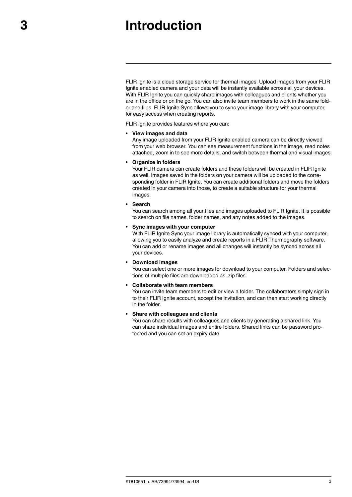## **[3](#page-4-0) [Introduction](#page-4-0)**

<span id="page-4-0"></span>FLIR Ignite is a cloud storage service for thermal images. Upload images from your FLIR Ignite enabled camera and your data will be instantly available across all your devices. With FLIR Ignite you can quickly share images with colleagues and clients whether you are in the office or on the go. You can also invite team members to work in the same folder and files. FLIR Ignite Sync allows you to sync your image library with your computer, for easy access when creating reports.

FLIR Ignite provides features where you can:

#### • **View images and data**

Any image uploaded from your FLIR Ignite enabled camera can be directly viewed from your web browser. You can see measurement functions in the image, read notes attached, zoom in to see more details, and switch between thermal and visual images.

#### • **Organize in folders**

Your FLIR camera can create folders and these folders will be created in FLIR Ignite as well. Images saved in the folders on your camera will be uploaded to the corresponding folder in FLIR Ignite. You can create additional folders and move the folders created in your camera into those, to create a suitable structure for your thermal images.

#### • **Search**

You can search among all your files and images uploaded to FLIR Ignite. It is possible to search on file names, folder names, and any notes added to the images.

#### • **Sync images with your computer**

With FLIR Ignite Sync your image library is automatically synced with your computer, allowing you to easily analyze and create reports in a FLIR Thermography software. You can add or rename images and all changes will instantly be synced across all your devices.

#### • **Download images**

You can select one or more images for download to your computer. Folders and selections of multiple files are downloaded as .zip files.

#### • **Collaborate with team members**

You can invite team members to edit or view a folder. The collaborators simply sign in to their FLIR Ignite account, accept the invitation, and can then start working directly in the folder.

#### • **Share with colleagues and clients**

You can share results with colleagues and clients by generating a shared link. You can share individual images and entire folders. Shared links can be password protected and you can set an expiry date.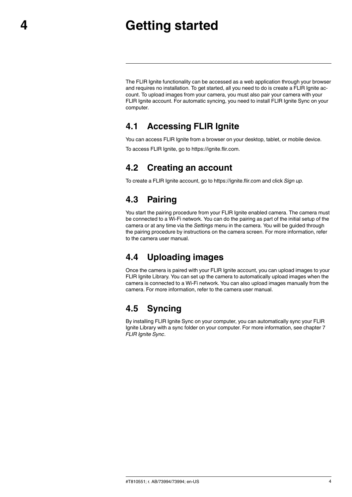## **[4](#page-5-0) [Getting](#page-5-0) started**

<span id="page-5-0"></span>The FLIR Ignite functionality can be accessed as a web application through your browser and requires no installation. To get started, all you need to do is create a FLIR Ignite account. To upload images from your camera, you must also pair your camera with your FLIR Ignite account. For automatic syncing, you need to install FLIR Ignite Sync on your computer.

### <span id="page-5-1"></span>**4.1 Accessing FLIR Ignite**

You can access FLIR Ignite from a browser on your desktop, tablet, or mobile device.

To access FLIR Ignite, go to https://ignite.flir.com.

### <span id="page-5-2"></span>**4.2 Creating an account**

To create a FLIR Ignite account, go to https://ignite.flir.com and click *Sign up*.

### <span id="page-5-3"></span>**4.3 Pairing**

You start the pairing procedure from your FLIR Ignite enabled camera. The camera must be connected to a Wi-Fi network. You can do the pairing as part of the initial setup of the camera or at any time via the *Settings* menu in the camera. You will be guided through the pairing procedure by instructions on the camera screen. For more information, refer to the camera user manual.

## <span id="page-5-4"></span>**4.4 Uploading images**

Once the camera is paired with your FLIR Ignite account, you can upload images to your FLIR Ignite Library. You can set up the camera to automatically upload images when the camera is connected to a Wi-Fi network. You can also upload images manually from the camera. For more information, refer to the camera user manual.

## <span id="page-5-5"></span>**4.5 Syncing**

By installing FLIR Ignite Sync on your computer, you can automatically sync your FLIR Ignite Library with a sync folder on your computer. For more information, see chapter [7](#page-10-0) *FLIR [Ignite](#page-10-0) Sync*.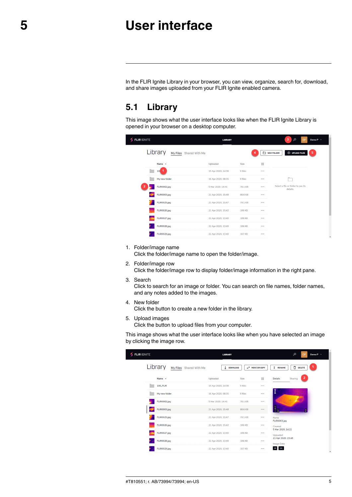## **[5](#page-6-0) User [interface](#page-6-0)**

<span id="page-6-0"></span>In the FLIR Ignite Library in your browser, you can view, organize, search for, download, and share images uploaded from your FLIR Ignite enabled camera.

### <span id="page-6-1"></span>**5.1 Library**

This image shows what the user interface looks like when the FLIR Ignite Library is opened in your browser on a desktop computer.

| <b>FLIR IGNITE</b>                 | <b>LIBRARY</b>     |               |            | 3<br>Q<br><b>DP</b>                            | Demo P v       |
|------------------------------------|--------------------|---------------|------------|------------------------------------------------|----------------|
| Library<br>My Files Shared With Me |                    |               | NEW FOLDER | <b>ED UPLOAD FILES</b>                         | $\overline{5}$ |
| Name ^                             | Uploaded           | <b>Size</b>   | 88         |                                                |                |
| -1<br>10 <sup>1</sup>              | 15 Apr 2020, 14:38 | 0 files       | $\cdots$   |                                                |                |
| My new folder                      | 16 Apr 2020, 08:35 | 8 files       |            |                                                |                |
| FLIR0002.jpg                       | 5 Mar 2020, 14:41  | 78.1 KB       |            | Select a file or folder to see its<br>details. |                |
| FLIR0003.jpg                       | 21 Apr 2020, 15:48 | 88.6 KB       |            |                                                |                |
| FLIR0025.jpg                       | 21 Apr 2020, 15:47 | 79.1 KB       | $\cdots$   |                                                |                |
| FLIR0026.jpg                       | 21 Apr 2020, 15:42 | <b>106 KB</b> |            |                                                |                |
| FLIR0027.jpg                       | 22 Apr 2020, 13:40 | <b>108 KB</b> | $\cdots$   |                                                |                |
| FLIR0028.jpg                       | 22 Apr 2020, 13:40 | 106 KB        |            |                                                |                |
| FLIR0029.jpg                       | 22 Apr 2020, 13:40 | <b>107 KB</b> | $\cdots$   |                                                | ٠              |
|                                    |                    |               |            |                                                |                |

#### 1. Folder/image name

Click the folder/image name to open the folder/image.

2. Folder/image row

Click the folder/image row to display folder/image information in the right pane.

3. Search

Click to search for an image or folder. You can search on file names, folder names, and any notes added to the images.

4. New folder

Click the button to create a new folder in the library.

5. Upload images Click the button to upload files from your computer.

This image shows what the user interface looks like when you have selected an image by clicking the image row.

| <b>FLIR IGNITE</b>                 | <b>LIBRARY</b>       |                                 | $\mathcal{L}$<br>Demo P v<br><b>DP</b>      |
|------------------------------------|----------------------|---------------------------------|---------------------------------------------|
| Library<br>My Files Shared With Me | ₹<br><b>DOWNLOAD</b> | $\rightleftarrows$ MOVE OR COPY | Ū<br>I RENAME<br><b>DELETE</b>              |
| Name ^                             | Uploaded             | 88<br><b>Size</b>               | $\overline{2}$<br><b>Details</b><br>Sharing |
| 100_FLIR                           | 15 Apr 2020, 14:38   | 0 files<br>0.0.0                |                                             |
| My new folder                      | 16 Apr 2020, 08:35   | 8 files<br>                     | <b>OFFLIR</b>                               |
| FLIR0002.jpg                       | 5 Mar 2020, 14:41    | 78.1 KB<br>                     |                                             |
| FLIR0003.jpg                       | 21 Apr 2020, 15:48   | 88.6 KB<br>                     | $rac{1}{2}$<br>Ġ                            |
| FLIR0025.jpg                       | 21 Apr 2020, 15:47   | 79.1 KB<br>$\cdots$             | Name<br>FLIR0003.jpg                        |
| FLIR0026.jpg                       | 21 Apr 2020, 15:42   | 106 KB<br>                      | Created                                     |
| FLIR0027.jpg                       | 22 Apr 2020, 13:40   | <b>108 KB</b><br>               | 5 Mar 2020, 14:22<br>Uploaded               |
| FLIR0028.jpg                       | 22 Apr 2020, 13:40   | 106 KB<br>                      | 21 Apr 2020, 15:48<br><b>Image Data</b>     |
| FLIR0029.jpg                       | 22 Apr 2020, 13:40   | <b>107 KB</b><br>$\cdots$       | DC                                          |
|                                    |                      |                                 |                                             |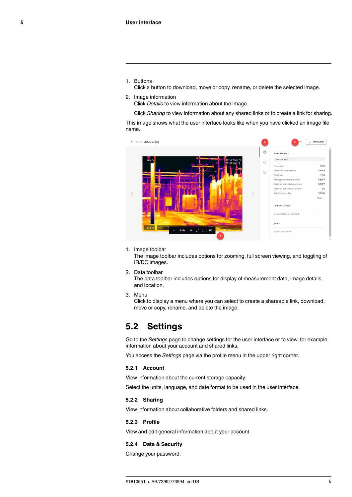1. Buttons

Click a button to download, move or copy, rename, or delete the selected image.

#### 2. Image information

Click *Details* to view information about the image.

Click *Sharing* to view information about any shared links or to create a link for sharing.

This image shows what the user interface looks like when you have clicked an image file name.



1. Image toolbar

The image toolbar includes options for zooming, full screen viewing, and toggling of IR/DC images.

2. Data toolbar

The data toolbar includes options for display of measurement data, image details, and location.

3. Menu

Click to display a menu where you can select to create a shareable link, download, move or copy, rename, and delete the image.

#### <span id="page-7-0"></span>**5.2 Settings**

Go to the *Settings* page to change settings for the user interface or to view, for example, information about your account and shared links.

You access the *Settings* page via the profile menu in the upper right corner.

#### <span id="page-7-1"></span>**5.2.1 Account**

View information about the current storage capacity.

Select the units, language, and date format to be used in the user interface.

#### <span id="page-7-2"></span>**5.2.2 Sharing**

View information about collaborative folders and shared links.

#### <span id="page-7-3"></span>**5.2.3 Profile**

View and edit general information about your account.

#### <span id="page-7-4"></span>**5.2.4 Data & Security**

Change your password.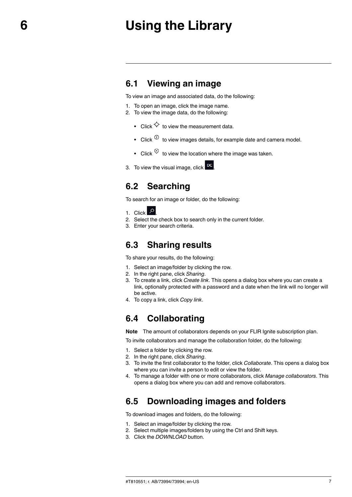## **[6](#page-8-0) Using the [Library](#page-8-0)**

#### <span id="page-8-1"></span><span id="page-8-0"></span>**6.1 Viewing an image**

To view an image and associated data, do the following:

- 1. To open an image, click the image name.
- 2. To view the image data, do the following:
	- Click  $\overleftrightarrow{\mathsf{C}}$  to view the measurement data.
	- Click  $\overset{\text{\normalsize 0}}{\mathbb{D}}$  to view images details, for example date and camera model.
	- Click  $\heartsuit$  to view the location where the image was taken.
- 3. To view the visual image, click  $\overline{P}C$

### <span id="page-8-2"></span>**6.2 Searching**

To search for an image or folder, do the following:

- 1. Click <sup>0</sup>
- 2. Select the check box to search only in the current folder.
- 3. Enter your search criteria.

#### <span id="page-8-3"></span>**6.3 Sharing results**

To share your results, do the following:

- 1. Select an image/folder by clicking the row.
- 2. In the right pane, click *Sharing*.
- 3. To create a link, click *Create link*. This opens a dialog box where you can create a link, optionally protected with a password and a date when the link will no longer will be active.
- 4. To copy a link, click *Copy link*.

#### <span id="page-8-4"></span>**6.4 Collaborating**

**Note** The amount of collaborators depends on your FLIR Ignite subscription plan.

To invite collaborators and manage the collaboration folder, do the following:

- 1. Select a folder by clicking the row.
- 2. In the right pane, click *Sharing*.
- 3. To invite the first collaborator to the folder, click *Collaborate*. This opens a dialog box where you can invite a person to edit or view the folder.
- 4. To manage a folder with one or more collaborators, click *Manage collaborators*. This opens a dialog box where you can add and remove collaborators.

### <span id="page-8-5"></span>**6.5 Downloading images and folders**

To download images and folders, do the following:

- 1. Select an image/folder by clicking the row.
- 2. Select multiple images/folders by using the Ctrl and Shift keys.
- 3. Click the *DOWNLOAD* button.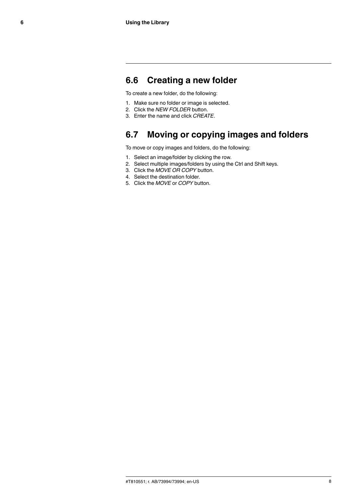### <span id="page-9-0"></span>**6.6 Creating a new folder**

To create a new folder, do the following:

- 1. Make sure no folder or image is selected.
- 2. Click the *NEW FOLDER* button.
- 3. Enter the name and click *CREATE*.

### <span id="page-9-1"></span>**6.7 Moving or copying images and folders**

To move or copy images and folders, do the following:

- 1. Select an image/folder by clicking the row.
- 2. Select multiple images/folders by using the Ctrl and Shift keys.
- 3. Click the *MOVE OR COPY* button.
- 4. Select the destination folder.
- 5. Click the *MOVE* or *COPY* button.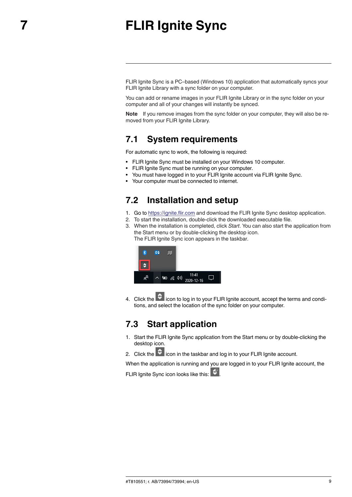## **[7](#page-10-0) FLIR [Ignite](#page-10-0) Sync**

<span id="page-10-0"></span>FLIR Ignite Sync is a PC–based (Windows 10) application that automatically syncs your FLIR Ignite Library with a sync folder on your computer.

You can add or rename images in your FLIR lanite Library or in the sync folder on your computer and all of your changes will instantly be synced.

**Note** If you remove images from the sync folder on your computer, they will also be removed from your FLIR Ignite Library.

### <span id="page-10-1"></span>**7.1 System requirements**

For automatic sync to work, the following is required:

- FLIR Ignite Sync must be installed on your Windows 10 computer.
- FLIR Ignite Sync must be running on your computer.
- You must have logged in to your FLIR Ignite account via FLIR Ignite Sync.
- Your computer must be connected to internet.

### <span id="page-10-2"></span>**7.2 Installation and setup**

- 1. Go to https://ignite.flir.com and download the FLIR Ignite Sync desktop application.
- 2. To start the installation, double-click the downloaded executable file.
- 3. When the installation is completed, click *Start*. You can also start the application from the Start menu or by double-clicking the desktop icon. The FLIR Ignite Sync icon appears in the taskbar.



4. Click the  $\overrightarrow{Q}$  icon to log in to your FLIR Ignite account, accept the terms and conditions, and select the location of the sync folder on your computer.

### <span id="page-10-3"></span>**7.3 Start application**

- 1. Start the FLIR Ignite Sync application from the Start menu or by double-clicking the desktop icon.
- 2. Click the  $\ddot{\bullet}$  icon in the taskbar and log in to your FLIR Ignite account.

When the application is running and you are logged in to your FLIR Ignite account, the

FLIR Ignite Sync icon looks like this: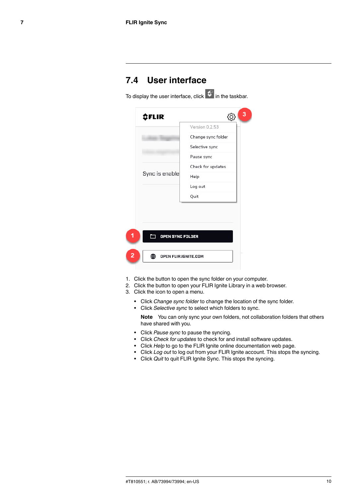### <span id="page-11-0"></span>**7.4 User interface**

To display the user interface, click  $\left|\hat{\mathbf{G}}\right|$  in the taskbar. *<u>CFLIR</u>* ද්රි} Version 0.2.53 Change sync folder Selective sync Pause sync Check for updates Sync is enable Help Log out Quit OPEN SYNC FOLDER ⊕ OPEN FLIR.IGNITE.COM

- 1. Click the button to open the sync folder on your computer.
- 2. Click the button to open your FLIR Ignite Library in a web browser.
- 3. Click the icon to open a menu.
	- Click *Change sync folder* to change the location of the sync folder.
	- Click *Selective sync* to select which folders to sync.

**Note** You can only sync your own folders, not collaboration folders that others have shared with you.

- Click *Pause sync* to pause the syncing.
- Click *Check for updates* to check for and install software updates.
- Click *Help* to go to the FLIR Ignite online documentation web page.
- Click *Log out* to log out from your FLIR Ignite account. This stops the syncing.
- Click *Quit* to quit FLIR Ignite Sync. This stops the syncing.